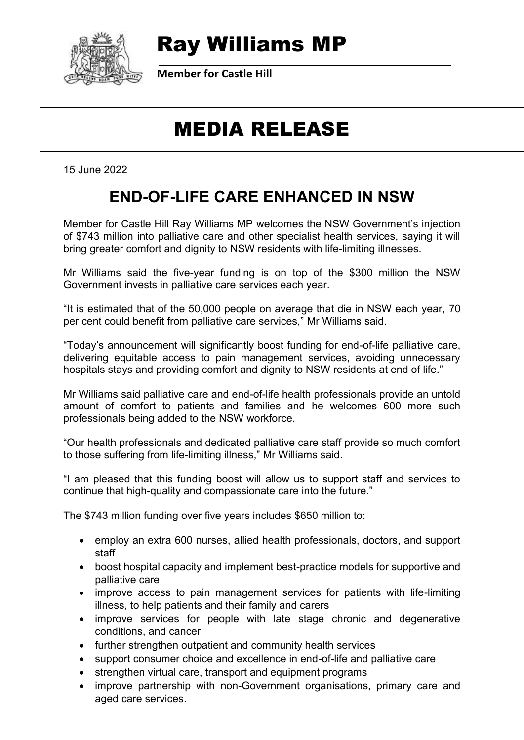

## Ray Williams MP

**Member for Castle Hill**

# MEDIA RELEASE

15 June 2022

#### **END-OF-LIFE CARE ENHANCED IN NSW**

Member for Castle Hill Ray Williams MP welcomes the NSW Government's injection of \$743 million into palliative care and other specialist health services, saying it will bring greater comfort and dignity to NSW residents with life-limiting illnesses.

Mr Williams said the five-year funding is on top of the \$300 million the NSW Government invests in palliative care services each year.

"It is estimated that of the 50,000 people on average that die in NSW each year, 70 per cent could benefit from palliative care services," Mr Williams said.

"Today's announcement will significantly boost funding for end-of-life palliative care, delivering equitable access to pain management services, avoiding unnecessary hospitals stays and providing comfort and dignity to NSW residents at end of life."

Mr Williams said palliative care and end-of-life health professionals provide an untold amount of comfort to patients and families and he welcomes 600 more such professionals being added to the NSW workforce.

"Our health professionals and dedicated palliative care staff provide so much comfort to those suffering from life-limiting illness," Mr Williams said.

"I am pleased that this funding boost will allow us to support staff and services to continue that high-quality and compassionate care into the future."

The \$743 million funding over five years includes \$650 million to:

- employ an extra 600 nurses, allied health professionals, doctors, and support staff
- boost hospital capacity and implement best-practice models for supportive and palliative care
- improve access to pain management services for patients with life-limiting illness, to help patients and their family and carers
- improve services for people with late stage chronic and degenerative conditions, and cancer
- further strengthen outpatient and community health services
- support consumer choice and excellence in end-of-life and palliative care
- strengthen virtual care, transport and equipment programs
- improve partnership with non-Government organisations, primary care and aged care services.